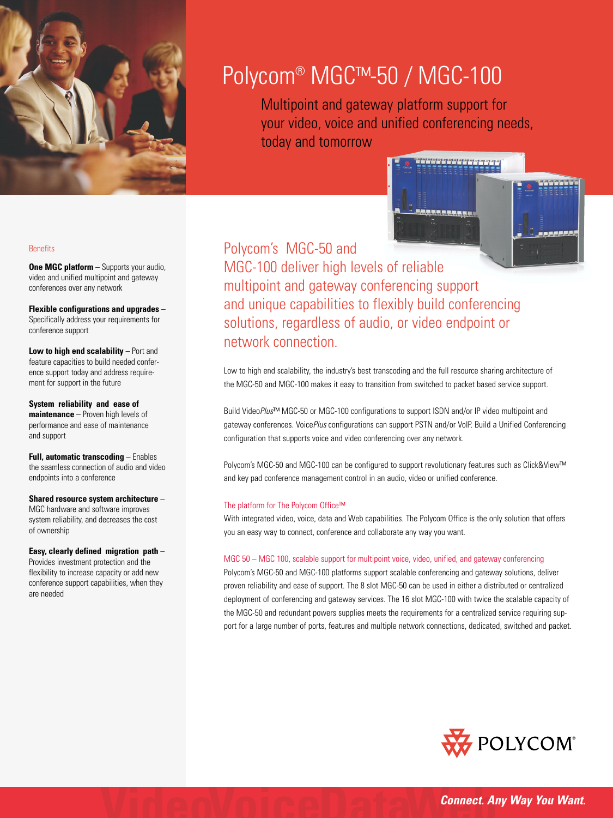

# Polycom® MGC™-50 / MGC-100

Multipoint and gateway platform support for your video, voice and unified conferencing needs, today and tomorrow



Polycom's MGC-50 and MGC-100 deliver high levels of reliable multipoint and gateway conferencing support and unique capabilities to flexibly build conferencing solutions, regardless of audio, or video endpoint or network connection.

Low to high end scalability, the industry's best transcoding and the full resource sharing architecture of the MGC-50 and MGC-100 makes it easy to transition from switched to packet based service support.

Build Video*Plus*™ MGC-50 or MGC-100 configurations to support ISDN and/or IP video multipoint and gateway conferences. Voice*Plus* configurations can support PSTN and/or VoIP. Build a Unified Conferencing configuration that supports voice and video conferencing over any network.

Polycom's MGC-50 and MGC-100 can be configured to support revolutionary features such as Click&View™ and key pad conference management control in an audio, video or unified conference.

## The platform for The Polycom Office™

With integrated video, voice, data and Web capabilities. The Polycom Office is the only solution that offers you an easy way to connect, conference and collaborate any way you want.

## MGC 50 – MGC 100, scalable support for multipoint voice, video, unified, and gateway conferencing

Polycom's MGC-50 and MGC-100 platforms support scalable conferencing and gateway solutions, deliver proven reliability and ease of support. The 8 slot MGC-50 can be used in either a distributed or centralized deployment of conferencing and gateway services. The 16 slot MGC-100 with twice the scalable capacity of the MGC-50 and redundant powers supplies meets the requirements for a centralized service requiring support for a large number of ports, features and multiple network connections, dedicated, switched and packet.



## **Benefits**

**One MGC platform** – Supports your audio, video and unified multipoint and gateway conferences over any network

**Flexible configurations and upgrades** – Specifically address your requirements for conference support

**Low to high end scalability** – Port and feature capacities to build needed conference support today and address requirement for support in the future

**System reliability and ease of maintenance** – Proven high levels of performance and ease of maintenance and support

**Full, automatic transcoding** – Enables the seamless connection of audio and video endpoints into a conference

**Shared resource system architecture** – MGC hardware and software improves system reliability, and decreases the cost of ownership

**Easy, clearly defined migration path** – Provides investment protection and the

flexibility to increase capacity or add new conference support capabilities, when they are needed